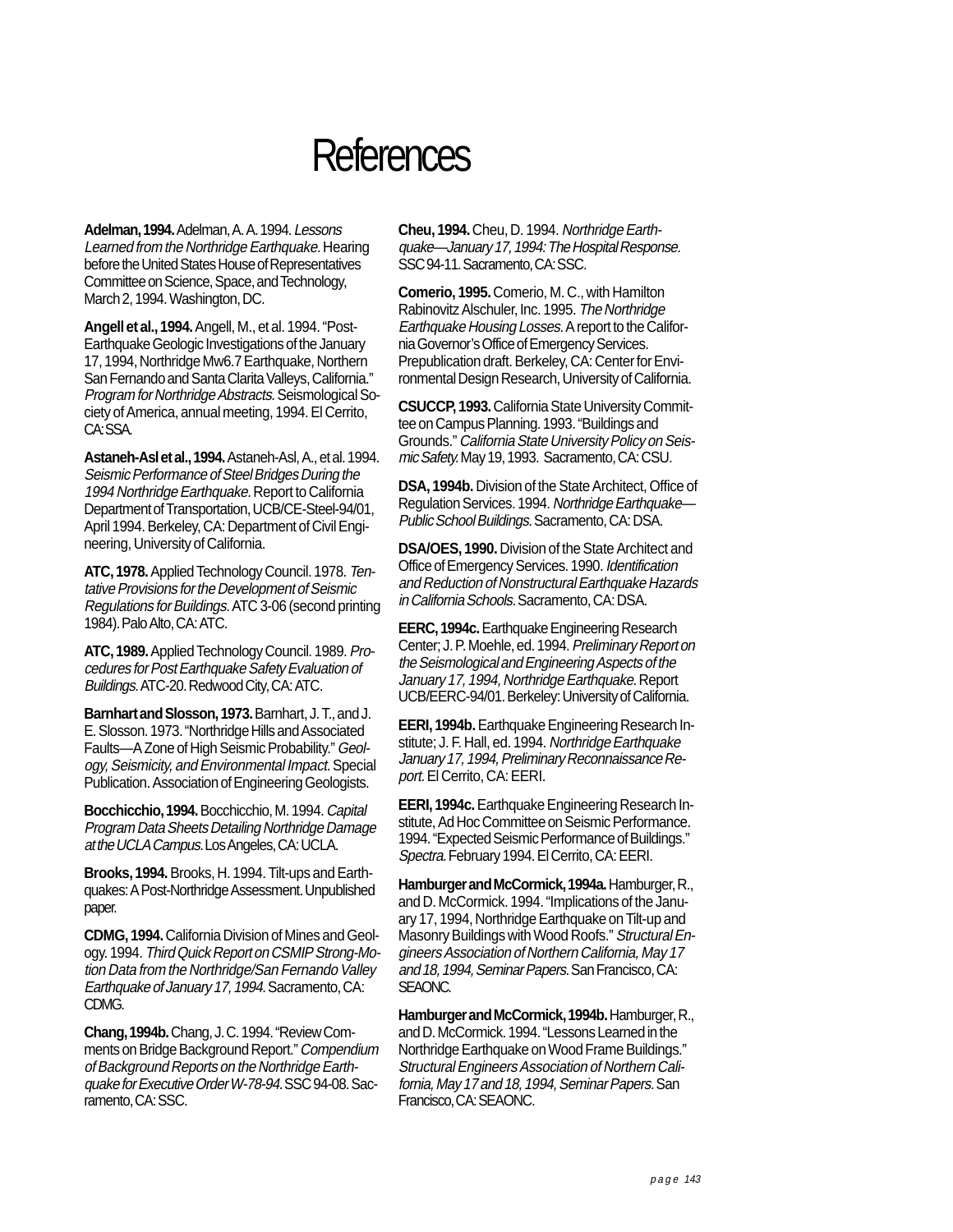## **References**

**Adelman, 1994.** Adelman, A. A. 1994. Lessons Learned from the Northridge Earthquake. Hearing before the United States House of Representatives Committee on Science, Space, and Technology, March 2, 1994. Washington, DC.

**Angell et al., 1994.** Angell, M., et al. 1994. "Post-Earthquake Geologic Investigations of the January 17, 1994, Northridge Mw6.7 Earthquake, Northern San Fernando and Santa Clarita Valleys, California." Program for Northridge Abstracts. Seismological Society of America, annual meeting, 1994. El Cerrito, CA:SSA.

**Astaneh-Asl et al., 1994.** Astaneh-Asl, A., et al. 1994. Seismic Performance of Steel Bridges During the 1994 Northridge Earthquake. Report to California Department of Transportation, UCB/CE-Steel-94/01, April 1994. Berkeley, CA: Department of Civil Engineering, University of California.

**ATC, 1978.** Applied Technology Council. 1978. Tentative Provisions for the Development of Seismic Regulations for Buildings. ATC 3-06 (second printing 1984). Palo Alto, CA: ATC.

**ATC, 1989.** Applied Technology Council. 1989. Procedures for Post Earthquake Safety Evaluation of Buildings. ATC-20. Redwood City, CA: ATC.

**Barnhart and Slosson, 1973.** Barnhart, J. T., and J. E. Slosson. 1973. "Northridge Hills and Associated Faults—A Zone of High Seismic Probability." Geology, Seismicity, and Environmental Impact. Special Publication. Association of Engineering Geologists.

**Bocchicchio, 1994.** Bocchicchio, M. 1994. Capital Program Data Sheets Detailing Northridge Damage at the UCLA Campus. Los Angeles, CA: UCLA.

**Brooks, 1994.** Brooks, H. 1994. Tilt-ups and Earthquakes: A Post-Northridge Assessment. Unpublished paper.

**CDMG, 1994.** California Division of Mines and Geology. 1994. Third Quick Report on CSMIP Strong-Motion Data from the Northridge/San Fernando Valley Earthquake of January 17, 1994. Sacramento, CA: CDMG.

**Chang, 1994b.** Chang, J. C. 1994. "Review Comments on Bridge Background Report." Compendium of Background Reports on the Northridge Earthquake for Executive Order W-78-94. SSC 94-08. Sacramento, CA: SSC.

**Cheu, 1994.** Cheu, D. 1994. Northridge Earthquake—January 17, 1994: The Hospital Response. SSC 94-11. Sacramento, CA: SSC.

**Comerio, 1995.** Comerio, M. C., with Hamilton Rabinovitz Alschuler, Inc. 1995. The Northridge Earthquake Housing Losses. A report to the California Governor's Office of Emergency Services. Prepublication draft. Berkeley, CA: Center for Environmental Design Research, University of California.

**CSUCCP, 1993.** California State University Committee on Campus Planning. 1993. "Buildings and Grounds." California State University Policy on Seismic Safety. May 19, 1993. Sacramento, CA: CSU.

**DSA, 1994b.** Division of the State Architect, Office of Regulation Services. 1994. Northridge Earthquake— Public School Buildings. Sacramento, CA: DSA.

**DSA/OES, 1990.** Division of the State Architect and Office of Emergency Services. 1990. Identification and Reduction of Nonstructural Earthquake Hazards in California Schools. Sacramento, CA: DSA.

**EERC, 1994c.** Earthquake Engineering Research Center; J. P. Moehle, ed. 1994. Preliminary Report on the Seismological and Engineering Aspects of the January 17, 1994, Northridge Earthquake. Report UCB/EERC-94/01. Berkeley: University of California.

**EERI, 1994b.** Earthquake Engineering Research Institute; J. F. Hall, ed. 1994. Northridge Earthquake January 17, 1994, Preliminary Reconnaissance Report. El Cerrito, CA: EERI.

**EERI, 1994c.** Earthquake Engineering Research Institute, Ad Hoc Committee on Seismic Performance. 1994. "Expected Seismic Performance of Buildings." Spectra. February 1994. El Cerrito, CA: EERI.

**Hamburger and McCormick, 1994a.** Hamburger, R., and D. McCormick. 1994. "Implications of the January 17, 1994, Northridge Earthquake on Tilt-up and Masonry Buildings with Wood Roofs." Structural Engineers Association of Northern California, May 17 and 18, 1994, Seminar Papers. San Francisco, CA: SEAONC.

**Hamburger and McCormick, 1994b.** Hamburger, R., and D. McCormick. 1994. "Lessons Learned in the Northridge Earthquake on Wood Frame Buildings." Structural Engineers Association of Northern California, May 17 and 18, 1994, Seminar Papers. San Francisco, CA:SEAONC.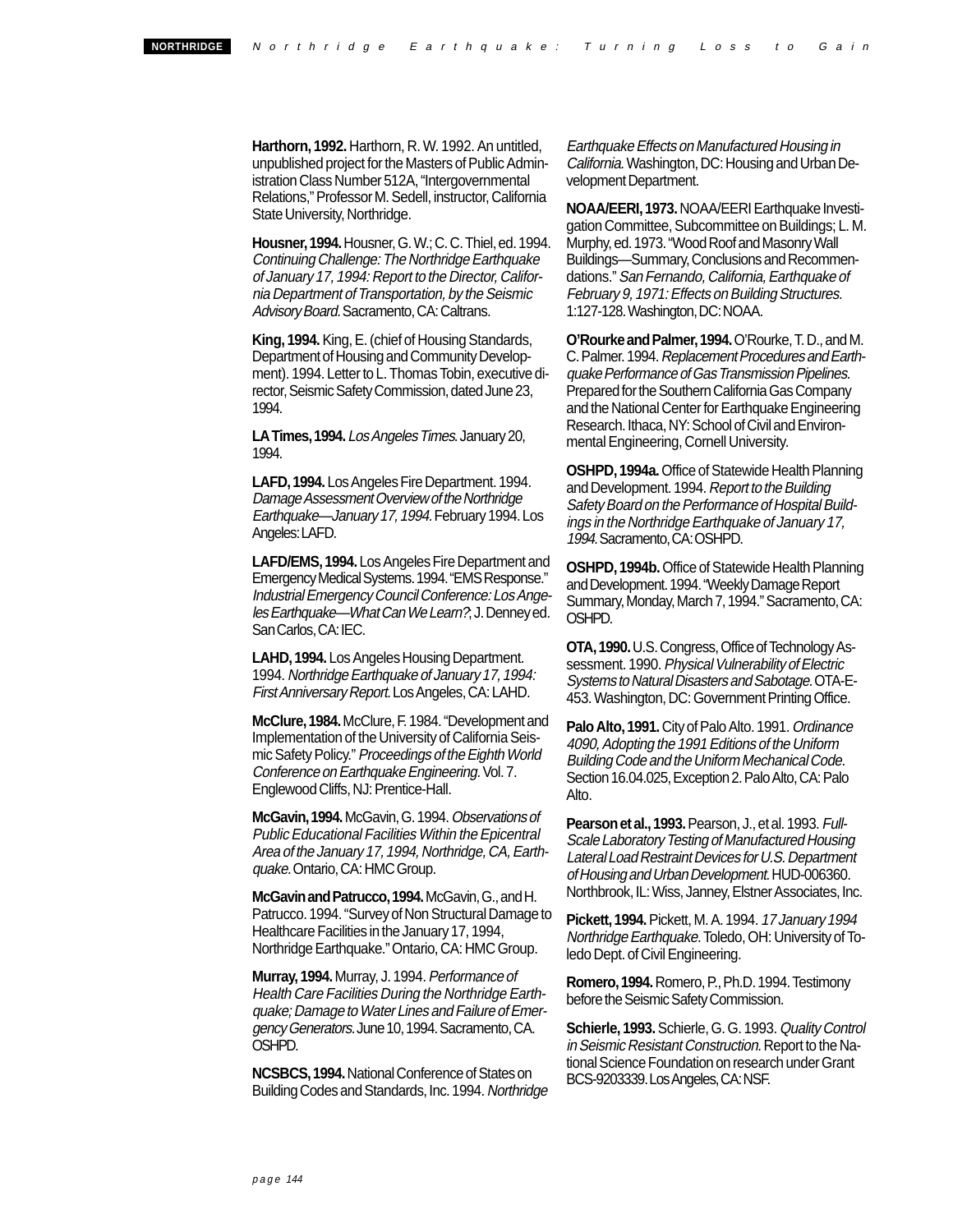**Harthorn, 1992.** Harthorn, R. W. 1992. An untitled, unpublished project for the Masters of Public Administration Class Number 512A, "Intergovernmental Relations," Professor M. Sedell, instructor, California State University, Northridge.

**Housner, 1994.** Housner, G. W.; C. C. Thiel, ed. 1994. Continuing Challenge: The Northridge Earthquake of January 17, 1994: Report to the Director, California Department of Transportation, by the Seismic Advisory Board. Sacramento, CA: Caltrans.

**King, 1994.** King, E. (chief of Housing Standards, Department of Housing and Community Development). 1994. Letter to L. Thomas Tobin, executive director, Seismic Safety Commission, dated June 23, 1994.

**LA Times, 1994.** Los Angeles Times. January 20, 1994.

**LAFD, 1994.** Los Angeles Fire Department. 1994. Damage Assessment Overview of the Northridge Earthquake—January 17, 1994. February 1994. Los Angeles: LAFD.

**LAFD/EMS, 1994.** Los Angeles Fire Department and Emergency Medical Systems. 1994. "EMS Response." Industrial Emergency Council Conference: Los Angeles Earthquake—What Can We Learn?; J. Denney ed. San Carlos, CA: IEC.

**LAHD, 1994.** Los Angeles Housing Department. 1994. Northridge Earthquake of January 17, 1994: First Anniversary Report. Los Angeles, CA: LAHD.

**McClure, 1984.** McClure, F. 1984. "Development and Implementation of the University of California Seismic Safety Policy." Proceedings of the Eighth World Conference on Earthquake Engineering. Vol. 7. Englewood Cliffs, NJ: Prentice-Hall.

**McGavin, 1994.** McGavin, G. 1994. Observations of Public Educational Facilities Within the Epicentral Area of the January 17, 1994, Northridge, CA, Earthquake. Ontario, CA: HMC Group.

**McGavin and Patrucco, 1994.** McGavin, G., and H. Patrucco. 1994. "Survey of Non Structural Damage to Healthcare Facilities in the January 17, 1994, Northridge Earthquake." Ontario, CA: HMC Group.

**Murray, 1994.** Murray, J. 1994. Performance of Health Care Facilities During the Northridge Earthquake; Damage to Water Lines and Failure of Emergency Generators. June 10, 1994. Sacramento, CA. OSHPD.

**NCSBCS, 1994.** National Conference of States on Building Codes and Standards, Inc. 1994. Northridge Earthquake Effects on Manufactured Housing in California. Washington, DC: Housing and Urban Development Department.

**NOAA/EERI, 1973.** NOAA/EERI Earthquake Investigation Committee, Subcommittee on Buildings; L. M. Murphy, ed. 1973. "Wood Roof and Masonry Wall Buildings—Summary, Conclusions and Recommendations." San Fernando, California, Earthquake of February 9, 1971: Effects on Building Structures. 1:127-128. Washington, DC: NOAA.

**O'Rourke and Palmer, 1994.** O'Rourke, T. D., and M. C. Palmer. 1994. Replacement Procedures and Earthquake Performance of Gas Transmission Pipelines. Prepared for the Southern California Gas Company and the National Center for Earthquake Engineering Research. Ithaca, NY: School of Civil and Environmental Engineering, Cornell University.

**OSHPD, 1994a.** Office of Statewide Health Planning and Development. 1994. Report to the Building Safety Board on the Performance of Hospital Buildings in the Northridge Earthquake of January 17, 1994. Sacramento, CA:OSHPD.

**OSHPD, 1994b.** Office of Statewide Health Planning and Development. 1994. "Weekly Damage Report Summary, Monday, March 7, 1994." Sacramento, CA: OSHPD.

**OTA, 1990.** U.S. Congress, Office of Technology Assessment. 1990. Physical Vulnerability of Electric Systems to Natural Disasters and Sabotage. OTA-E-453. Washington, DC: Government Printing Office.

**Palo Alto, 1991.** City of Palo Alto. 1991. Ordinance 4090, Adopting the 1991 Editions of the Uniform Building Code and the Uniform Mechanical Code. Section 16.04.025, Exception 2. Palo Alto, CA: Palo Alto.

**Pearson et al., 1993.** Pearson, J., et al. 1993. Full-Scale Laboratory Testing of Manufactured Housing Lateral Load Restraint Devices for U.S. Department of Housing and Urban Development. HUD-006360. Northbrook, IL: Wiss, Janney, Elstner Associates, Inc.

**Pickett, 1994.** Pickett, M. A. 1994. 17 January 1994 Northridge Earthquake. Toledo, OH: University of Toledo Dept. of Civil Engineering.

**Romero, 1994.** Romero, P., Ph.D. 1994. Testimony before the Seismic Safety Commission.

**Schierle, 1993.** Schierle, G. G. 1993. Quality Control in Seismic Resistant Construction. Report to the National Science Foundation on research under Grant BCS-9203339. Los Angeles, CA: NSF.